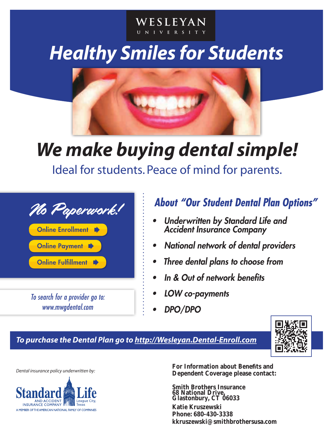# *Healthy Smiles for Students*

WESLEYAN UNIVERSITY



## *We make buying dental simple!*

Ideal for students. Peace of mind for parents.



*To search for a provider go to: www.mwgdental.com*

### *About "Our Student Dental Plan Options"*

- *• Underwritten by Standard Life and Accident Insurance Company*
- *• National network of dental providers*
- *• Three dental plans to choose from*
- *• In & Out of network benefits*
- *• LOW co-payments*
- *• DPO/DPO*





*Dental insurance policy underwritten by:*



**Dependent Coverage please contact: For Information about Benefits and** 

**Smith Brothers Insurance 68 National Drive, Glastonbury, CT 06033**

**kkruszewski@smithbrothersusa.com Phone: 680-430-3338 Katie Kruszewski**